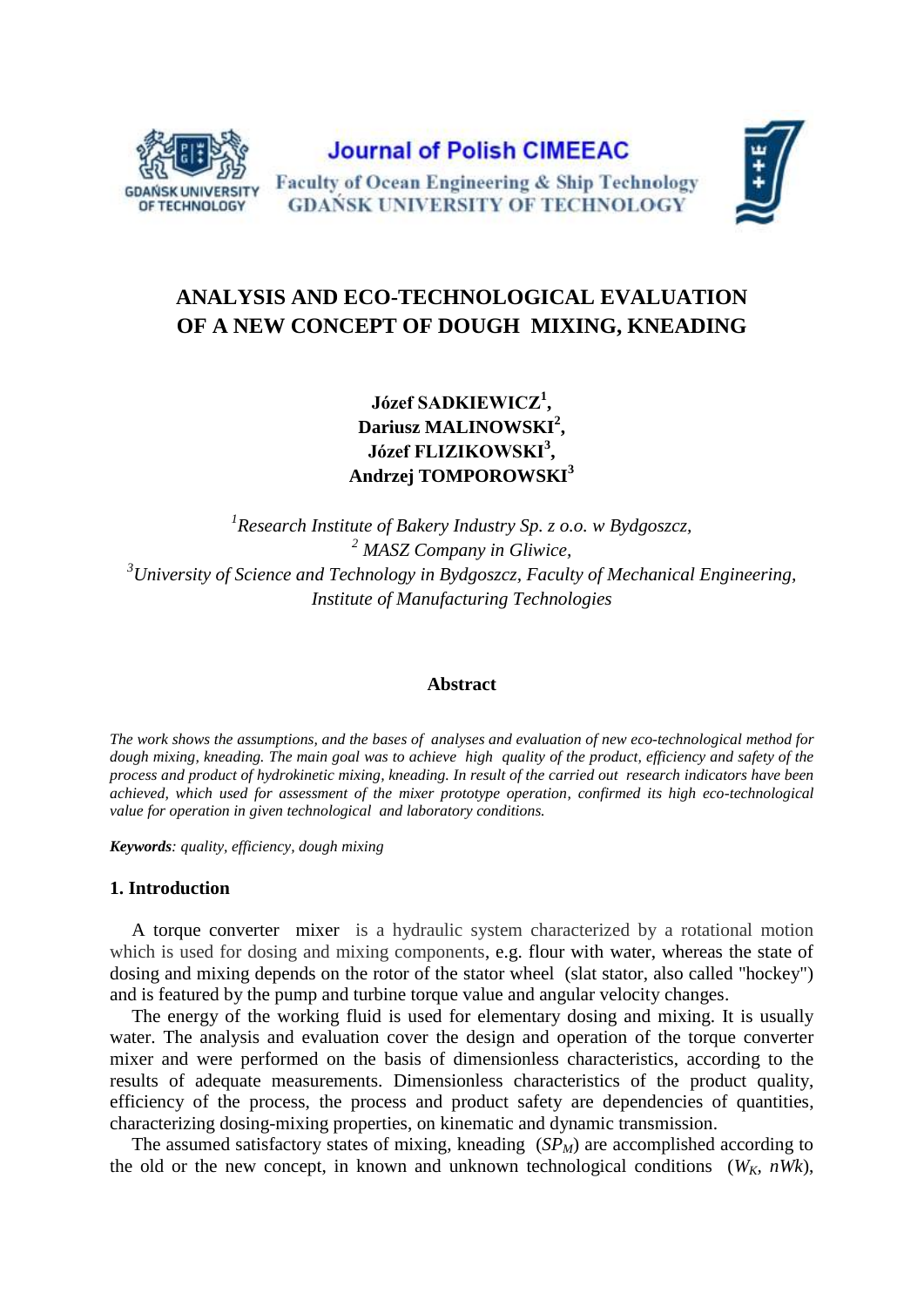

**Journal of Polish CIMEEAC** Faculty of Ocean Engineering & Ship Technology **GDAŃSK UNIVERSITY OF TECHNOLOGY** 



# **ANALYSIS AND ECO-TECHNOLOGICAL EVALUATION OF A NEW CONCEPT OF DOUGH MIXING, KNEADING**

**Józef SADKIEWICZ<sup>1</sup> , Dariusz MALINOWSKI<sup>2</sup> , Józef FLIZIKOWSKI<sup>3</sup> , Andrzej TOMPOROWSKI<sup>3</sup>**

 *Research Institute of Bakery Industry Sp. z o.o. w Bydgoszcz, MASZ Company in Gliwice, University of Science and Technology in Bydgoszcz, Faculty of Mechanical Engineering, Institute of Manufacturing Technologies*

# **Abstract**

*The work shows the assumptions, and the bases of analyses and evaluation of new eco-technological method for dough mixing, kneading. The main goal was to achieve high quality of the product, efficiency and safety of the process and product of hydrokinetic mixing, kneading. In result of the carried out research indicators have been achieved, which used for assessment of the mixer prototype operation, confirmed its high eco-technological value for operation in given technological and laboratory conditions.*

*Keywords: quality, efficiency, dough mixing*

# **1. Introduction**

A torque converter mixer is a hydraulic system characterized by a rotational motion which is used for dosing and mixing components, e.g. flour with water, whereas the state of dosing and mixing depends on the rotor of the stator wheel (slat stator, also called "hockey") and is featured by the pump and turbine torque value and angular velocity changes.

The energy of the working fluid is used for elementary dosing and mixing. It is usually water. The analysis and evaluation cover the design and operation of the torque converter mixer and were performed on the basis of dimensionless characteristics, according to the results of adequate measurements. Dimensionless characteristics of the product quality, efficiency of the process, the process and product safety are dependencies of quantities, characterizing dosing-mixing properties, on kinematic and dynamic transmission.

The assumed satisfactory states of mixing, kneading (*SPM*) are accomplished according to the old or the new concept, in known and unknown technological conditions ( $W_K$ ,  $nWk$ ),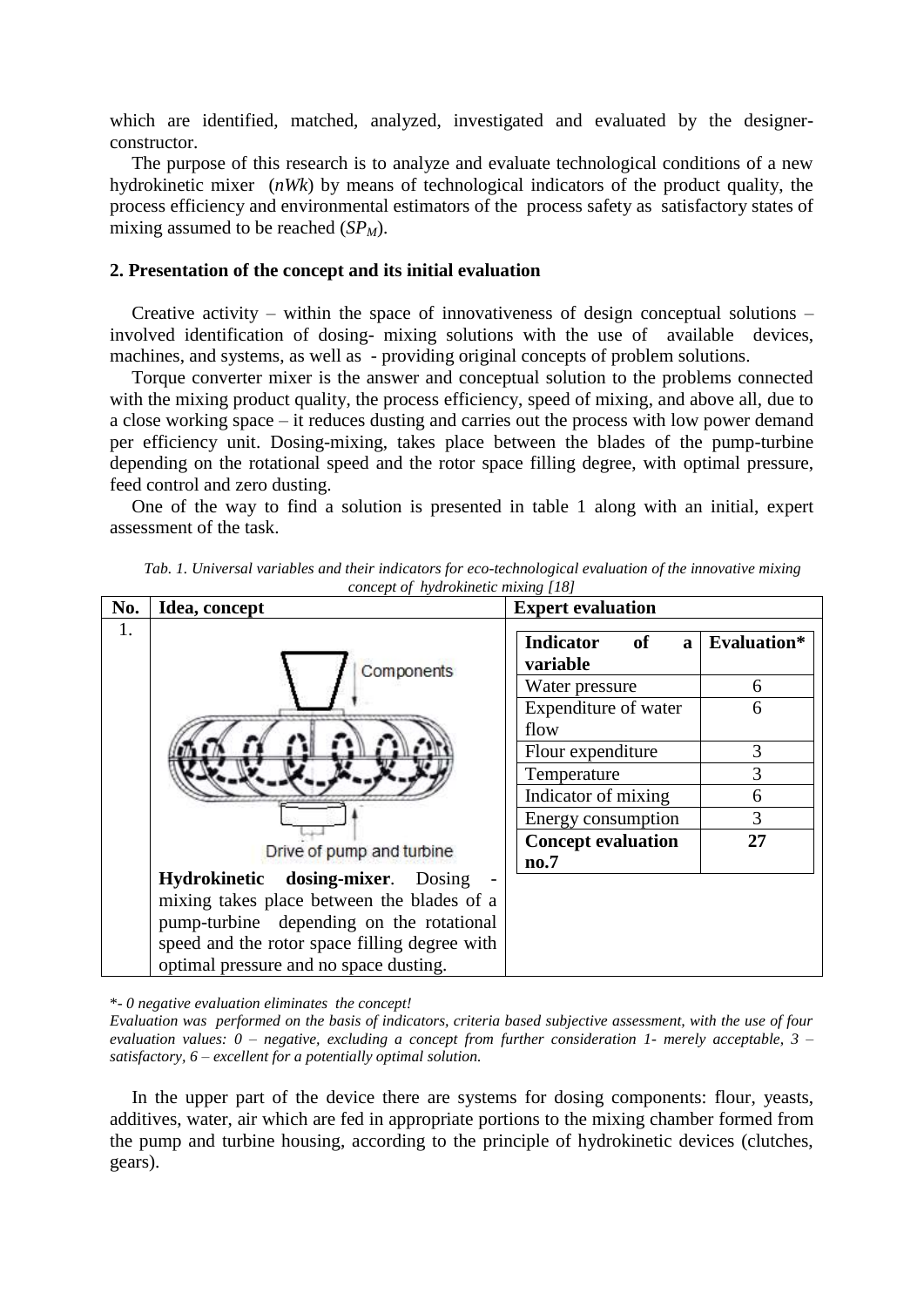which are identified, matched, analyzed, investigated and evaluated by the designerconstructor.

The purpose of this research is to analyze and evaluate technological conditions of a new hydrokinetic mixer (*nWk*) by means of technological indicators of the product quality, the process efficiency and environmental estimators of the process safety as satisfactory states of mixing assumed to be reached (*SPM*).

#### **2. Presentation of the concept and its initial evaluation**

Creative activity – within the space of innovativeness of design conceptual solutions – involved identification of dosing- mixing solutions with the use of available devices, machines, and systems, as well as - providing original concepts of problem solutions.

Torque converter mixer is the answer and conceptual solution to the problems connected with the mixing product quality, the process efficiency, speed of mixing, and above all, due to a close working space – it reduces dusting and carries out the process with low power demand per efficiency unit. Dosing-mixing, takes place between the blades of the pump-turbine depending on the rotational speed and the rotor space filling degree, with optimal pressure, feed control and zero dusting.

One of the way to find a solution is presented in table 1 along with an initial, expert assessment of the task.

| No. | Idea, concept                                 | <b>Expert evaluation</b>                                  |             |  |  |  |  |
|-----|-----------------------------------------------|-----------------------------------------------------------|-------------|--|--|--|--|
| 1.  | Components                                    | <b>Indicator</b><br><b>of</b><br>$\mathbf{a}$<br>variable | Evaluation* |  |  |  |  |
|     | Drive of pump and turbine                     | Water pressure                                            | 6           |  |  |  |  |
|     |                                               | Expenditure of water                                      | 6           |  |  |  |  |
|     |                                               | flow                                                      |             |  |  |  |  |
|     |                                               | Flour expenditure                                         | 3           |  |  |  |  |
|     |                                               | Temperature                                               | 3           |  |  |  |  |
|     |                                               | Indicator of mixing                                       | 6           |  |  |  |  |
|     |                                               | Energy consumption                                        | 3           |  |  |  |  |
|     |                                               | <b>Concept evaluation</b>                                 | 27          |  |  |  |  |
|     |                                               | no.7                                                      |             |  |  |  |  |
|     | Hydrokinetic dosing-mixer. Dosing             |                                                           |             |  |  |  |  |
|     | mixing takes place between the blades of a    |                                                           |             |  |  |  |  |
|     | pump-turbine depending on the rotational      |                                                           |             |  |  |  |  |
|     | speed and the rotor space filling degree with |                                                           |             |  |  |  |  |
|     | optimal pressure and no space dusting.        |                                                           |             |  |  |  |  |

*Tab. 1. Universal variables and their indicators for eco-technological evaluation of the innovative mixing concept of hydrokinetic mixing [18]*

\*- *0 negative evaluation eliminates the concept!*

*Evaluation was performed on the basis of indicators, criteria based subjective assessment, with the use of four evaluation values: 0 – negative, excluding a concept from further consideration 1- merely acceptable, 3 – satisfactory, 6 – excellent for a potentially optimal solution.*

In the upper part of the device there are systems for dosing components: flour, yeasts, additives, water, air which are fed in appropriate portions to the mixing chamber formed from the pump and turbine housing, according to the principle of hydrokinetic devices (clutches, gears).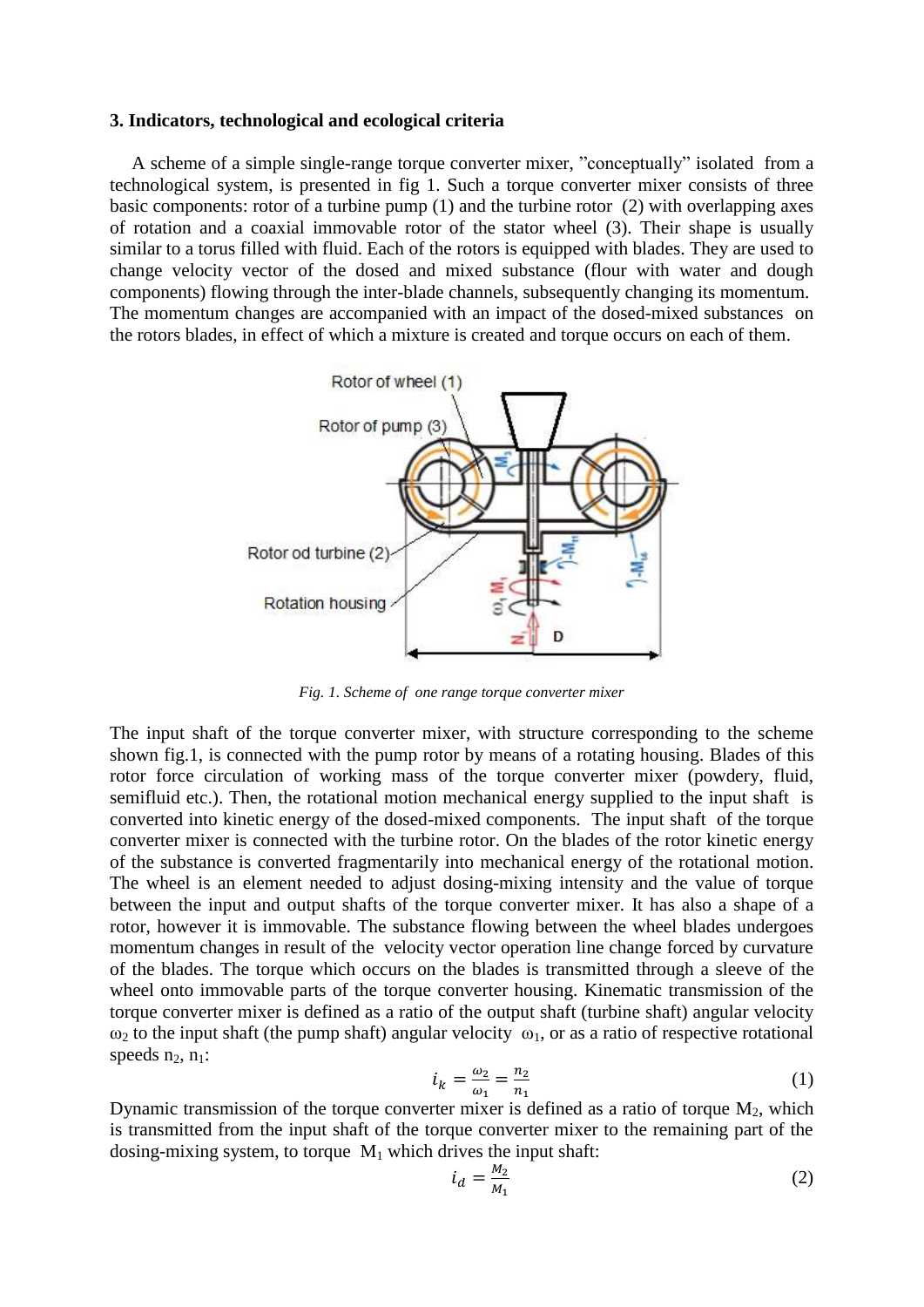#### **3. Indicators, technological and ecological criteria**

A scheme of a simple single-range torque converter mixer, "conceptually" isolated from a technological system, is presented in fig 1. Such a torque converter mixer consists of three basic components: rotor of a turbine pump (1) and the turbine rotor (2) with overlapping axes of rotation and a coaxial immovable rotor of the stator wheel (3). Their shape is usually similar to a torus filled with fluid. Each of the rotors is equipped with blades. They are used to change velocity vector of the dosed and mixed substance (flour with water and dough components) flowing through the inter-blade channels, subsequently changing its momentum. The momentum changes are accompanied with an impact of the dosed-mixed substances on the rotors blades, in effect of which a mixture is created and torque occurs on each of them.



*Fig. 1. Scheme of one range torque converter mixer*

The input shaft of the torque converter mixer, with structure corresponding to the scheme shown fig.1, is connected with the pump rotor by means of a rotating housing. Blades of this rotor force circulation of working mass of the torque converter mixer (powdery, fluid, semifluid etc.). Then, the rotational motion mechanical energy supplied to the input shaft is converted into kinetic energy of the dosed-mixed components. The input shaft of the torque converter mixer is connected with the turbine rotor. On the blades of the rotor kinetic energy of the substance is converted fragmentarily into mechanical energy of the rotational motion. The wheel is an element needed to adjust dosing-mixing intensity and the value of torque between the input and output shafts of the torque converter mixer. It has also a shape of a rotor, however it is immovable. The substance flowing between the wheel blades undergoes momentum changes in result of the velocity vector operation line change forced by curvature of the blades. The torque which occurs on the blades is transmitted through a sleeve of the wheel onto immovable parts of the torque converter housing. Kinematic transmission of the torque converter mixer is defined as a ratio of the output shaft (turbine shaft) angular velocity  $\omega_2$  to the input shaft (the pump shaft) angular velocity  $\omega_1$ , or as a ratio of respective rotational speeds  $n_2$ ,  $n_1$ :

$$
i_k = \frac{\omega_2}{\omega_1} = \frac{n_2}{n_1} \tag{1}
$$

Dynamic transmission of the torque converter mixer is defined as a ratio of torque  $M_2$ , which is transmitted from the input shaft of the torque converter mixer to the remaining part of the dosing-mixing system, to torque  $M_1$  which drives the input shaft:

$$
i_d = \frac{M_2}{M_1} \tag{2}
$$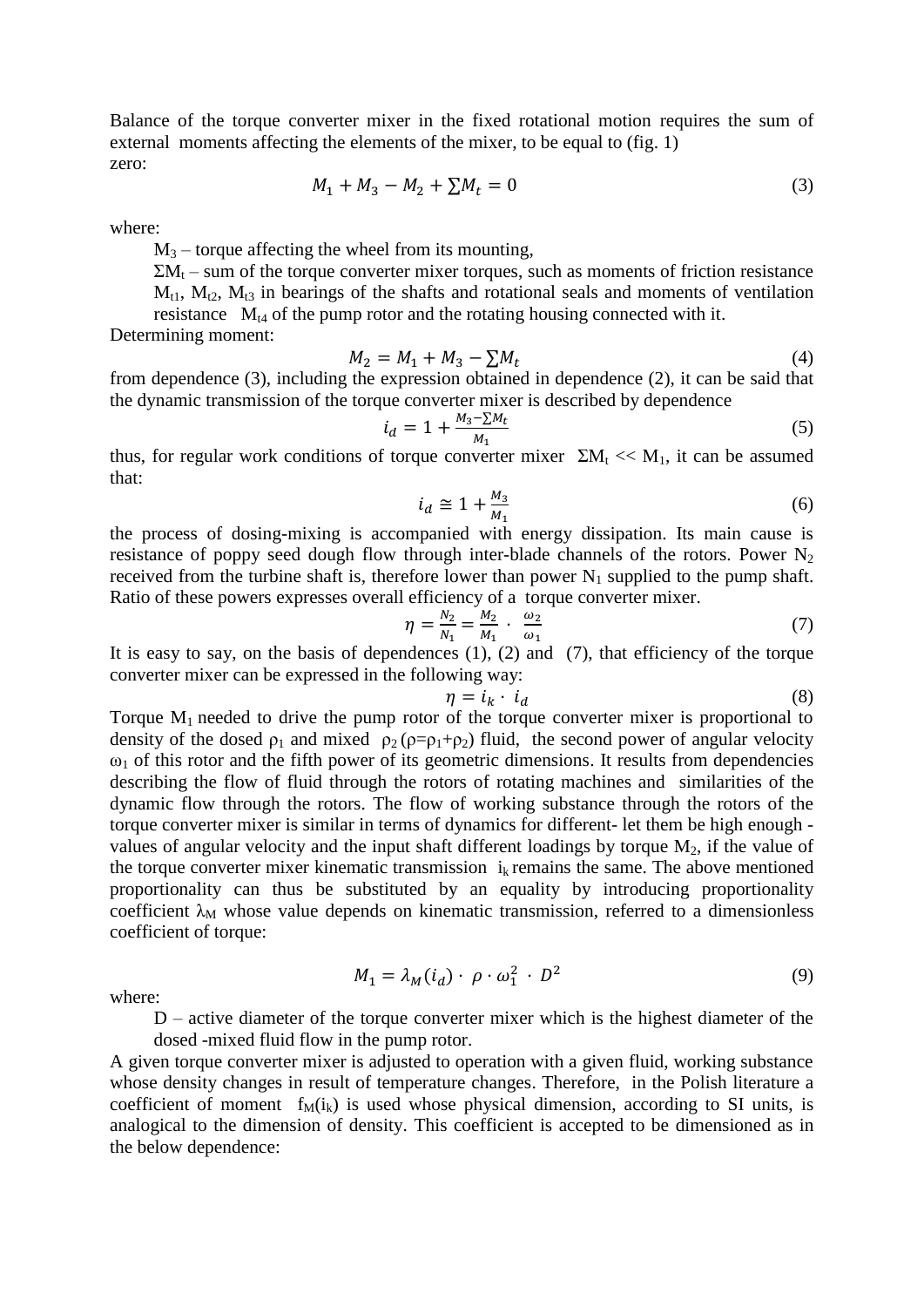Balance of the torque converter mixer in the fixed rotational motion requires the sum of external moments affecting the elements of the mixer, to be equal to (fig. 1) zero:

$$
M_1 + M_3 - M_2 + \sum M_t = 0 \tag{3}
$$

where:

 $M_3$  – torque affecting the wheel from its mounting,

 $\Sigma M_t$  – sum of the torque converter mixer torques, such as moments of friction resistance  $M_{t1}$ ,  $M_{t2}$ ,  $M_{t3}$  in bearings of the shafts and rotational seals and moments of ventilation resistance  $M_{t4}$  of the pump rotor and the rotating housing connected with it.

Determining moment:

$$
M_2 = M_1 + M_3 - \sum M_t \tag{4}
$$

from dependence (3), including the expression obtained in dependence (2), it can be said that the dynamic transmission of the torque converter mixer is described by dependence

$$
i_d = 1 + \frac{M_3 - \sum M_t}{M_1}
$$
 (5)

thus, for regular work conditions of torque converter mixer  $\Sigma M_t \ll M_1$ , it can be assumed that:

$$
i_d \cong 1 + \frac{M_3}{M_1} \tag{6}
$$

the process of dosing-mixing is accompanied with energy dissipation. Its main cause is resistance of poppy seed dough flow through inter-blade channels of the rotors. Power  $N<sub>2</sub>$ received from the turbine shaft is, therefore lower than power  $N_1$  supplied to the pump shaft. Ratio of these powers expresses overall efficiency of a torque converter mixer.

$$
\eta = \frac{N_2}{N_1} = \frac{M_2}{M_1} \cdot \frac{\omega_2}{\omega_1} \tag{7}
$$

It is easy to say, on the basis of dependences  $(1)$ ,  $(2)$  and  $(7)$ , that efficiency of the torque converter mixer can be expressed in the following way:

$$
\eta = i_k \cdot i_d \tag{8}
$$

Torque  $M_1$  needed to drive the pump rotor of the torque converter mixer is proportional to density of the dosed  $\rho_1$  and mixed  $\rho_2(\rho = \rho_1 + \rho_2)$  fluid, the second power of angular velocity  $\omega_1$  of this rotor and the fifth power of its geometric dimensions. It results from dependencies describing the flow of fluid through the rotors of rotating machines and similarities of the dynamic flow through the rotors. The flow of working substance through the rotors of the torque converter mixer is similar in terms of dynamics for different- let them be high enough values of angular velocity and the input shaft different loadings by torque  $M_2$ , if the value of the torque converter mixer kinematic transmission  $i_k$  remains the same. The above mentioned proportionality can thus be substituted by an equality by introducing proportionality coefficient  $\lambda_M$  whose value depends on kinematic transmission, referred to a dimensionless coefficient of torque:

where:

$$
M_1 = \lambda_M(i_d) \cdot \rho \cdot \omega_1^2 \cdot D^2 \tag{9}
$$

D – active diameter of the torque converter mixer which is the highest diameter of the dosed -mixed fluid flow in the pump rotor.

A given torque converter mixer is adjusted to operation with a given fluid, working substance whose density changes in result of temperature changes. Therefore, in the Polish literature a coefficient of moment  $f_M(i_k)$  is used whose physical dimension, according to SI units, is analogical to the dimension of density. This coefficient is accepted to be dimensioned as in the below dependence: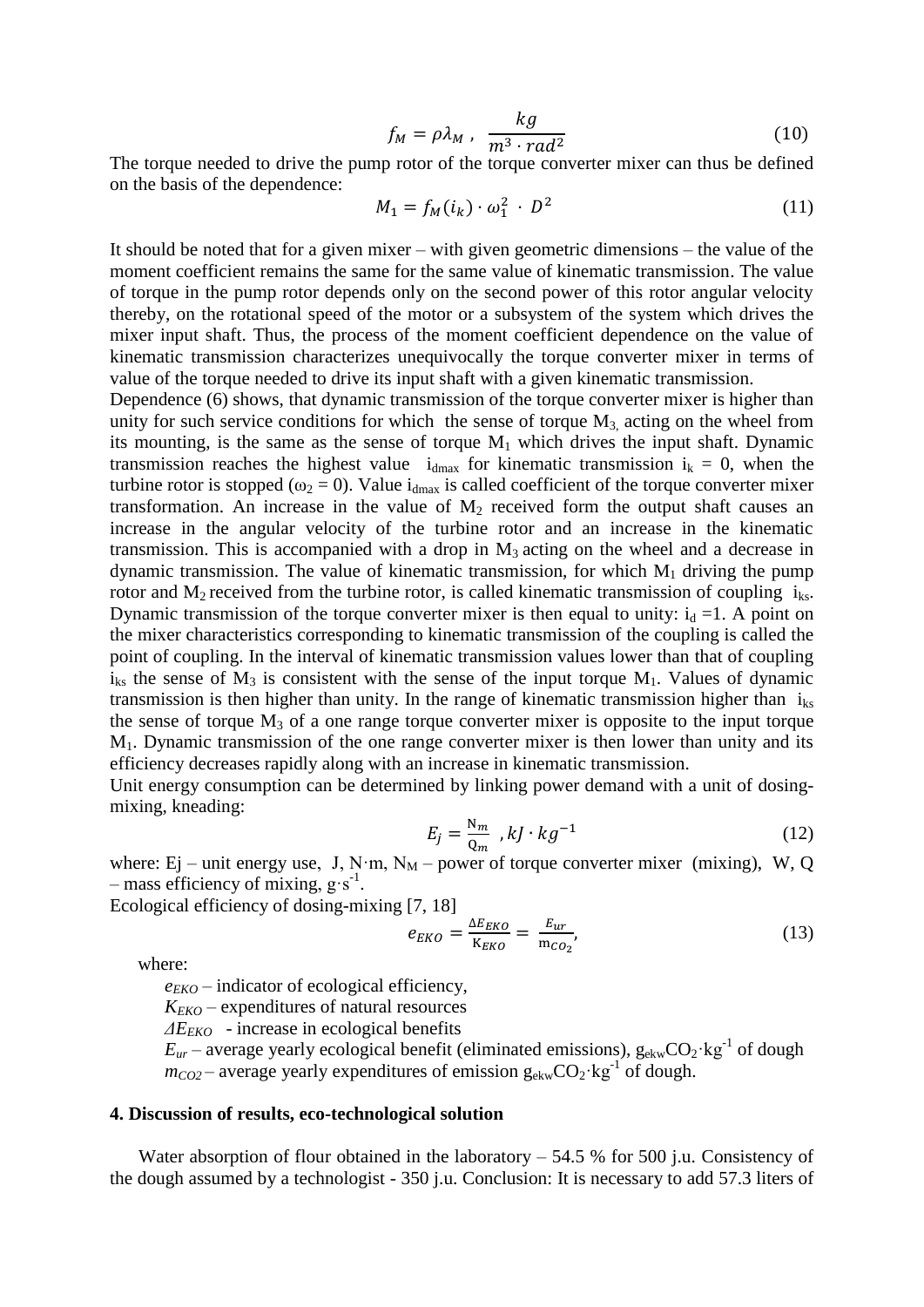$$
f_M = \rho \lambda_M \ , \ \frac{kg}{m^3 \cdot rad^2} \tag{10}
$$

The torque needed to drive the pump rotor of the torque converter mixer can thus be defined on the basis of the dependence:

$$
M_1 = f_M(i_k) \cdot \omega_1^2 \cdot D^2 \tag{11}
$$

It should be noted that for a given mixer – with given geometric dimensions – the value of the moment coefficient remains the same for the same value of kinematic transmission. The value of torque in the pump rotor depends only on the second power of this rotor angular velocity thereby, on the rotational speed of the motor or a subsystem of the system which drives the mixer input shaft. Thus, the process of the moment coefficient dependence on the value of kinematic transmission characterizes unequivocally the torque converter mixer in terms of value of the torque needed to drive its input shaft with a given kinematic transmission.

Dependence (6) shows, that dynamic transmission of the torque converter mixer is higher than unity for such service conditions for which the sense of torque  $M<sub>3</sub>$ , acting on the wheel from its mounting, is the same as the sense of torque  $M_1$  which drives the input shaft. Dynamic transmission reaches the highest value  $i_{dmax}$  for kinematic transmission  $i_k = 0$ , when the turbine rotor is stopped ( $\omega_2 = 0$ ). Value i<sub>dmax</sub> is called coefficient of the torque converter mixer transformation. An increase in the value of  $M<sub>2</sub>$  received form the output shaft causes an increase in the angular velocity of the turbine rotor and an increase in the kinematic transmission. This is accompanied with a drop in  $M_3$  acting on the wheel and a decrease in dynamic transmission. The value of kinematic transmission, for which  $M_1$  driving the pump rotor and  $M_2$  received from the turbine rotor, is called kinematic transmission of coupling  $i_{ks}$ . Dynamic transmission of the torque converter mixer is then equal to unity:  $i_d = 1$ . A point on the mixer characteristics corresponding to kinematic transmission of the coupling is called the point of coupling. In the interval of kinematic transmission values lower than that of coupling  $i_{ks}$  the sense of  $M_3$  is consistent with the sense of the input torque  $M_1$ . Values of dynamic transmission is then higher than unity. In the range of kinematic transmission higher than  $i_{ks}$ the sense of torque  $M_3$  of a one range torque converter mixer is opposite to the input torque M1. Dynamic transmission of the one range converter mixer is then lower than unity and its efficiency decreases rapidly along with an increase in kinematic transmission.

Unit energy consumption can be determined by linking power demand with a unit of dosingmixing, kneading:

$$
E_j = \frac{N_m}{Q_m} , kJ \cdot kg^{-1}
$$
 (12)

where: Ej – unit energy use, J, N·m,  $N_M$  – power of torque converter mixer (mixing), W, Q  $-$  mass efficiency of mixing,  $g \cdot s^{-1}$ .

Ecological efficiency of dosing-mixing [7, 18]

$$
e_{EKO} = \frac{\Delta E_{EKO}}{K_{EKO}} = \frac{E_{ur}}{m_{CO_2}},\tag{13}
$$

where:

*eEKO* – indicator of ecological efficiency,

*KEKO* – expenditures of natural resources

*ΔEEKO* - increase in ecological benefits

 $E_{ur}$  – average yearly ecological benefit (eliminated emissions),  $g_{ekw}CO_2$ ·kg<sup>-1</sup> of dough  $m_{CO2}$  – average yearly expenditures of emission  $g_{ekw}CO_2$ ·kg<sup>-1</sup> of dough.

#### **4. Discussion of results, eco-technological solution**

Water absorption of flour obtained in the laboratory  $-54.5\%$  for 500 j.u. Consistency of the dough assumed by a technologist - 350 j.u. Conclusion: It is necessary to add 57.3 liters of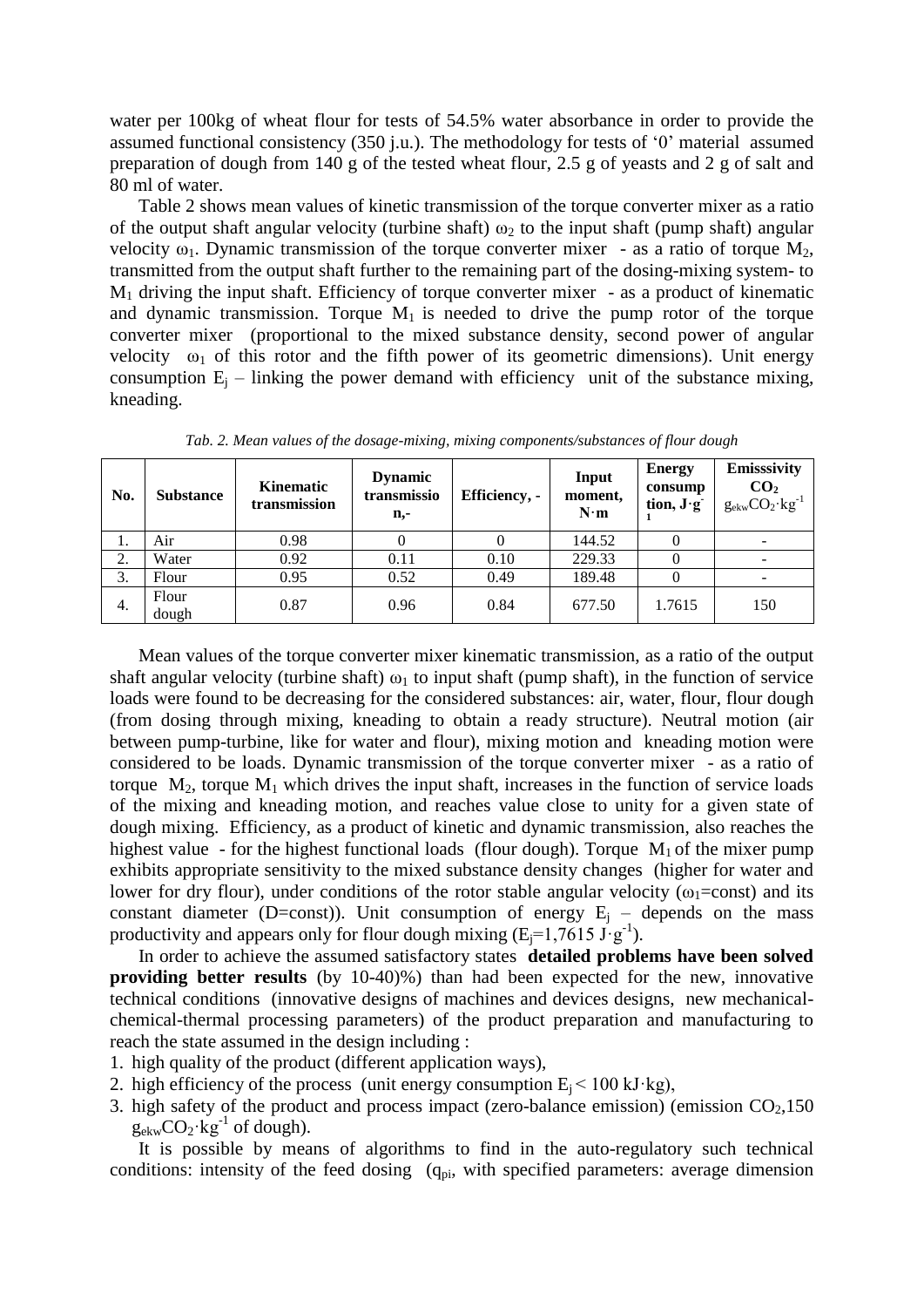water per 100kg of wheat flour for tests of 54.5% water absorbance in order to provide the assumed functional consistency (350 j.u.). The methodology for tests of '0' material assumed preparation of dough from 140 g of the tested wheat flour, 2.5 g of yeasts and 2 g of salt and 80 ml of water.

Table 2 shows mean values of kinetic transmission of the torque converter mixer as a ratio of the output shaft angular velocity (turbine shaft)  $\omega_2$  to the input shaft (pump shaft) angular velocity  $\omega_1$ . Dynamic transmission of the torque converter mixer - as a ratio of torque M<sub>2</sub>, transmitted from the output shaft further to the remaining part of the dosing-mixing system- to  $M_1$  driving the input shaft. Efficiency of torque converter mixer - as a product of kinematic and dynamic transmission. Torque  $M_1$  is needed to drive the pump rotor of the torque converter mixer (proportional to the mixed substance density, second power of angular velocity  $\omega_1$  of this rotor and the fifth power of its geometric dimensions). Unit energy consumption  $E_i$  – linking the power demand with efficiency unit of the substance mixing, kneading.

| No. | <b>Substance</b> | Kinematic<br>transmission | <b>Dynamic</b><br>transmissio<br>n,- | Efficiency, - | Input<br>moment,<br>$N \cdot m$ | <b>Energy</b><br>consump<br>tion, $J \cdot g$ | Emisssivity<br>CO <sub>2</sub><br>$g_{\rm ekw}CO_2$ · $kg^{-1}$ |
|-----|------------------|---------------------------|--------------------------------------|---------------|---------------------------------|-----------------------------------------------|-----------------------------------------------------------------|
| ı.  | Air              | 0.98                      |                                      |               | 144.52                          | U                                             |                                                                 |
| 2.  | Water            | 0.92                      | 0.11                                 | 0.10          | 229.33                          | 0                                             |                                                                 |
| 3.  | Flour            | 0.95                      | 0.52                                 | 0.49          | 189.48                          |                                               |                                                                 |
| 4.  | Flour<br>dough   | 0.87                      | 0.96                                 | 0.84          | 677.50                          | 1.7615                                        | 150                                                             |

*Tab. 2. Mean values of the dosage-mixing, mixing components/substances of flour dough*

Mean values of the torque converter mixer kinematic transmission, as a ratio of the output shaft angular velocity (turbine shaft)  $\omega_1$  to input shaft (pump shaft), in the function of service loads were found to be decreasing for the considered substances: air, water, flour, flour dough (from dosing through mixing, kneading to obtain a ready structure). Neutral motion (air between pump-turbine, like for water and flour), mixing motion and kneading motion were considered to be loads. Dynamic transmission of the torque converter mixer - as a ratio of torque  $M_2$ , torque  $M_1$  which drives the input shaft, increases in the function of service loads of the mixing and kneading motion, and reaches value close to unity for a given state of dough mixing. Efficiency, as a product of kinetic and dynamic transmission, also reaches the highest value - for the highest functional loads (flour dough). Torque  $M_1$  of the mixer pump exhibits appropriate sensitivity to the mixed substance density changes (higher for water and lower for dry flour), under conditions of the rotor stable angular velocity ( $\omega_1$ =const) and its constant diameter (D=const)). Unit consumption of energy  $E_i$  – depends on the mass productivity and appears only for flour dough mixing  $(E_j=1,7615 \text{ J} \cdot \text{g}^{-1})$ .

In order to achieve the assumed satisfactory states **detailed problems have been solved providing better results** (by 10-40)%) than had been expected for the new, innovative technical conditions (innovative designs of machines and devices designs, new mechanicalchemical-thermal processing parameters) of the product preparation and manufacturing to reach the state assumed in the design including :

- 1. high quality of the product (different application ways),
- 2. high efficiency of the process (unit energy consumption  $E_i < 100$  kJ·kg),
- 3. high safety of the product and process impact (zero-balance emission) (emission  $CO<sub>2</sub>$ ,150  $g_{\text{ekw}}CO_2$ ·kg<sup>-1</sup> of dough).

It is possible by means of algorithms to find in the auto-regulatory such technical conditions: intensity of the feed dosing  $(q_{pi}$ , with specified parameters: average dimension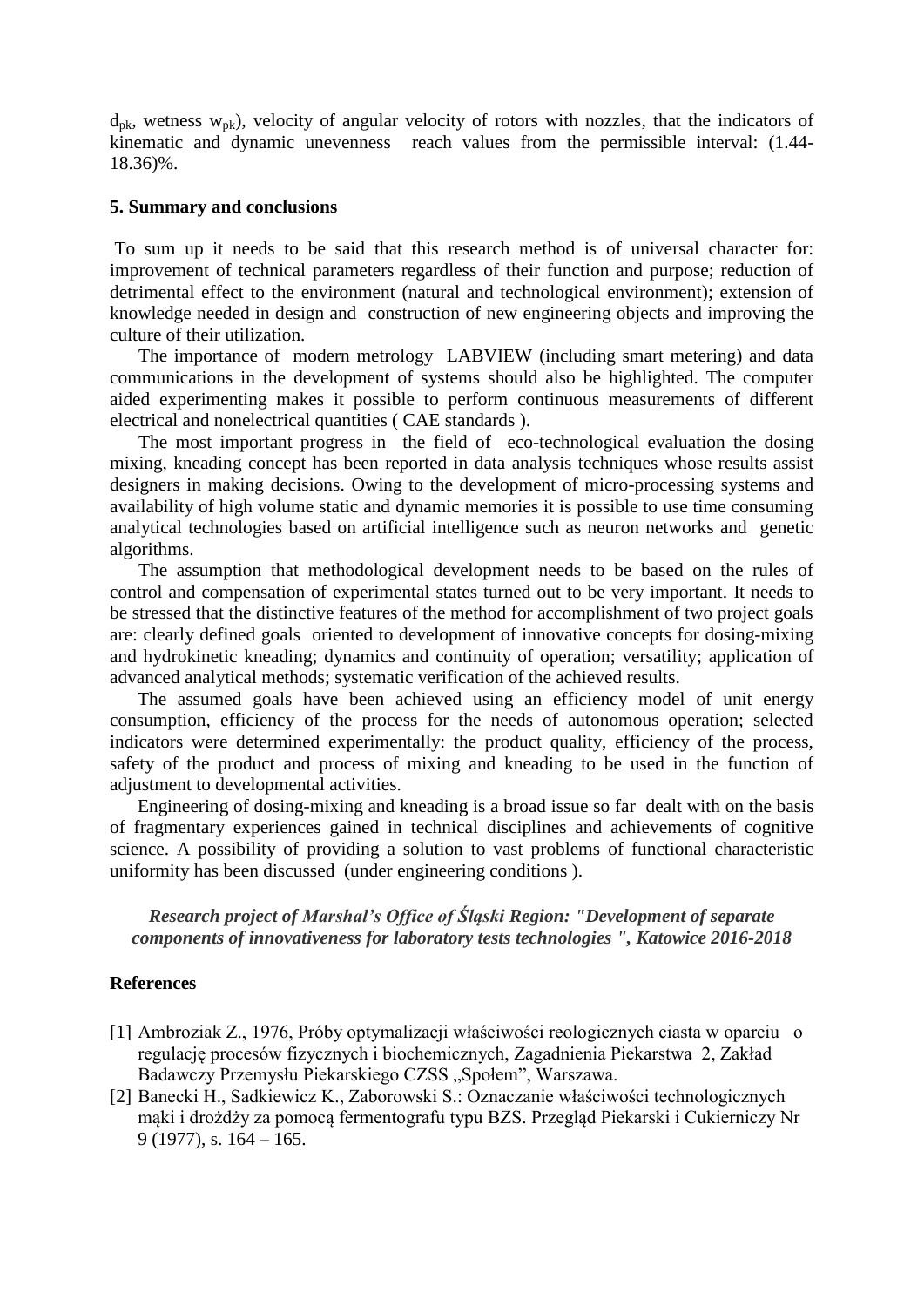$d_{pk}$ , wetness  $w_{pk}$ ), velocity of angular velocity of rotors with nozzles, that the indicators of kinematic and dynamic unevenness reach values from the permissible interval: (1.44- 18.36)%.

# **5. Summary and conclusions**

To sum up it needs to be said that this research method is of universal character for: improvement of technical parameters regardless of their function and purpose; reduction of detrimental effect to the environment (natural and technological environment); extension of knowledge needed in design and construction of new engineering objects and improving the culture of their utilization.

The importance of modern metrology LABVIEW (including smart metering) and data communications in the development of systems should also be highlighted. The computer aided experimenting makes it possible to perform continuous measurements of different electrical and nonelectrical quantities ( CAE standards ).

The most important progress in the field of eco-technological evaluation the dosing mixing, kneading concept has been reported in data analysis techniques whose results assist designers in making decisions. Owing to the development of micro-processing systems and availability of high volume static and dynamic memories it is possible to use time consuming analytical technologies based on artificial intelligence such as neuron networks and genetic algorithms.

The assumption that methodological development needs to be based on the rules of control and compensation of experimental states turned out to be very important. It needs to be stressed that the distinctive features of the method for accomplishment of two project goals are: clearly defined goals oriented to development of innovative concepts for dosing-mixing and hydrokinetic kneading; dynamics and continuity of operation; versatility; application of advanced analytical methods; systematic verification of the achieved results.

The assumed goals have been achieved using an efficiency model of unit energy consumption, efficiency of the process for the needs of autonomous operation; selected indicators were determined experimentally: the product quality, efficiency of the process, safety of the product and process of mixing and kneading to be used in the function of adjustment to developmental activities.

Engineering of dosing-mixing and kneading is a broad issue so far dealt with on the basis of fragmentary experiences gained in technical disciplines and achievements of cognitive science. A possibility of providing a solution to vast problems of functional characteristic uniformity has been discussed (under engineering conditions ).

*Research project of Marshal's Office of Śląski Region: "Development of separate components of innovativeness for laboratory tests technologies ", Katowice 2016-2018*

# **References**

- [1] Ambroziak Z., 1976, Próby optymalizacji właściwości reologicznych ciasta w oparciu o regulację procesów fizycznych i biochemicznych, Zagadnienia Piekarstwa 2, Zakład Badawczy Przemysłu Piekarskiego CZSS "Społem", Warszawa.
- [2] Banecki H., Sadkiewicz K., Zaborowski S.: Oznaczanie właściwości technologicznych mąki i drożdży za pomocą fermentografu typu BZS. Przegląd Piekarski i Cukierniczy Nr 9 (1977), s. 164 – 165.